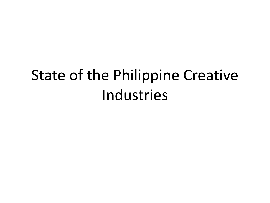# State of the Philippine Creative Industries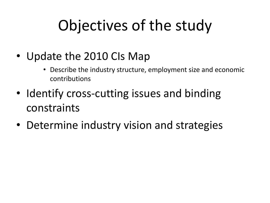# Objectives of the study

- Update the 2010 CIs Map
	- Describe the industry structure, employment size and economic contributions
- Identify cross-cutting issues and binding constraints
- Determine industry vision and strategies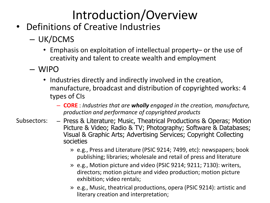### Introduction/Overview

- Definitions of Creative Industries
	- UK/DCMS
		- Emphasis on exploitation of intellectual property– or the use of creativity and talent to create wealth and employment
	- WIPO
		- Industries directly and indirectly involved in the creation, manufacture, broadcast and distribution of copyrighted works: 4 types of CIs
			- **CORE** : *Industries that are wholly engaged in the creation, manufacture, production and performance of copyrighted products*
- Press & Literature; Music, Theatrical Productions & Operas; Motion Picture & Video; Radio & TV; Photography; Software & Databases; Visual & Graphic Arts; Advertising Services; Copyright Collecting societies Subsectors:
	- » e.g., Press and Literature (PSIC 9214; 7499, etc): newspapers; book publishing; libraries; wholesale and retail of press and literature
	- » e.g., Motion picture and video (PSIC 9214; 9211; 7130): writers, directors; motion picture and video production; motion picture exhibition; video rentals;
	- » e.g., Music, theatrical productions, opera (PSIC 9214): artistic and literary creation and interpretation;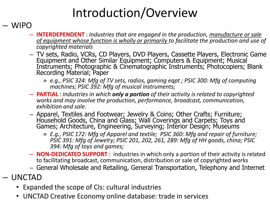### Introduction/Overview

#### – WIPO

- **INTERDEPENDENT** : *Industries that are engaged in the production, manufacture or sale of equipment whose function is wholly or primarily to facilitate the production and use of copyrighted materials*
- TV sets, Radio, VCRs, CD Players, DVD Players, Cassette Players, Electronic Game Equipment and Other Similar Equipment; Computers & Equipment; Musical Instruments; Photographic & Cinematographic Instruments; Photocopiers; Blank Recording Material; Paper
	- » *e.g., PSIC 324: Mfg of TV sets, radios, gaming eqpt ; PSIC 300: Mfg of computing machines; PSIC 392: Mfg of musical instruments;*
- **PARTIAL** : *Industries in which only a portion of their activity is related to copyrighted works and may involve the production, performance, broadcast, communication, exhibition and sale.*
- Apparel, Textiles and Footwear; Jewelry & Coins; Other Crafts; Furniture; Household Goods, China and Glass; Wall Coverings and Carpets; Toys and Games; Architecture, Engineering, Surveying; Interior Design; Museums
	- » *E.g., PSIC 172: Mfg of Apparel and textile; PSIC 360: Mfg and repair of furniture; PSIC 391: Mfg of Jewelry; PSIC 201, 202, 261, 289: Mfg of HH goods, china; PSIC 394: Mfg of toys and games;*
- **NON-DEDICATED SUPPORT** : industries in which only a portion of their activity is related to facilitating broadcast, communication, distribution or sale of copyrighted works
- General Wholesale and Retailing, General Transportation, Telephony and Internet
- UNCTAD
	- Expanded the scope of CIs: cultural industries
	- UNCTAD Creative Economy online database: trade in services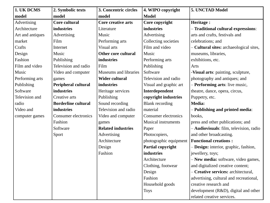| 1. UK DCMS       | 2. Symbolic texts          | 3. Concentric circles      | 4. WIPO copyright          | 5. UNCTAD Model                         |
|------------------|----------------------------|----------------------------|----------------------------|-----------------------------------------|
| model            | model                      | model                      | <b>Model</b>               |                                         |
| Advertising      | Core cultural              | Core creative arts         | Core copyright             | Heritage:                               |
| Architecture     | industries                 | Literature                 | industries                 | - Traditional cultural expressions:     |
| Art and antiques | Advertising                | Music                      | Advertising                | arts and crafts, festivals and          |
| market           | Film                       | Performing arts            | Collecting societies       | celebrations; and                       |
| Crafts           | Internet                   | Visual arts                | Film and video             | - Cultural sites: archaeological sites, |
| Design           | Music                      | <b>Other core cultural</b> | Music                      | museums, libraries,                     |
| Fashion          | Publishing                 | industries                 | Performing arts            | exhibitions, etc.                       |
| Film and video   | Television and radio       | Film                       | Publishing                 | Arts                                    |
| Music            | Video and computer         | Museums and libraries      | Software                   | -Visual arts: painting, sculpture,      |
| Performing arts  | games                      | <b>Wider cultural</b>      | Television and radio       | photography and antiques; and           |
| Publishing       | Peripheral cultural        | industries                 | Visual and graphic art     | - Performing arts: live music,          |
| Software         | industries                 | Heritage services          | Interdependent             | theatre, dance, opera, circus,          |
| Television and   | Creative arts              | Publishing                 | copyright industries       | Puppetry, etc.                          |
| radio            | <b>Borderline cultural</b> | Sound recording            | <b>Blank</b> recording     | Media:                                  |
| Video and        | industries                 | Television and radio       | material                   | - Publishing and printed media:         |
| computer games   | Consumer electronics       | Video and computer         | Consumer electronics       | books,                                  |
|                  | Fashion                    | games                      | <b>Musical instruments</b> | press and other publications; and       |
|                  | Software                   | <b>Related industries</b>  | Paper                      | - Audiovisuals: film, television, radio |
|                  | Sport                      | Advertising                | Photocopiers,              | and other broadcasting.                 |
|                  |                            | Architecture               | photographic equipment     | <b>Functional creations:</b>            |
|                  |                            | Design                     | Partial copyright          | - Design: interior, graphic, fashion,   |
|                  |                            | Fashion                    | <b>industries</b>          | jewellery, toys;                        |
|                  |                            |                            | Architecture               | - New media: software, video games,     |
|                  |                            |                            | Clothing, footwear         | and digitalized creative content;       |
|                  |                            |                            | Design                     | - Creative services: architectural,     |
|                  |                            |                            | Fashion                    | advertising, cultural and recreational, |
|                  |                            |                            | Household goods            | creative research and                   |
|                  |                            |                            | <b>Toys</b>                | development (R&D), digital and other    |
|                  |                            |                            |                            | related creative services.              |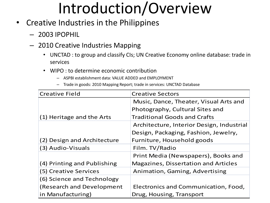### Introduction/Overview

- Creative Industries in the Philippines
	- 2003 IPOPHIL
	- 2010 Creative Industries Mapping
		- UNCTAD : to group and classify CIs; UN Creative Economy online database: trade in services
		- WIPO : to determine economic contribution
			- ASPBI establishment data: VALUE ADDED and EMPLOYMENT
			- Trade in goods: 2010 Mapping Report; trade in services: UNCTAD Database

| <b>Creative Field</b>       | <b>Creative Sectors</b>                     |
|-----------------------------|---------------------------------------------|
|                             | Music, Dance, Theater, Visual Arts and      |
|                             | Photography, Cultural Sites and             |
| (1) Heritage and the Arts   | <b>Traditional Goods and Crafts</b>         |
|                             | Architecture, Interior Design, Industrial   |
|                             | Design, Packaging, Fashion, Jewelry,        |
| (2) Design and Architecture | Furniture, Household goods                  |
| (3) Audio-Visuals           | Film. TV/Radio                              |
|                             | Print Media (Newspapers), Books and         |
| (4) Printing and Publishing | <b>Magazines, Dissertation and Articles</b> |
| (5) Creative Services       | Animation, Gaming, Advertising              |
| (6) Science and Technology  |                                             |
| (Research and Development   | Electronics and Communication, Food,        |
| in Manufacturing)           | Drug, Housing, Transport                    |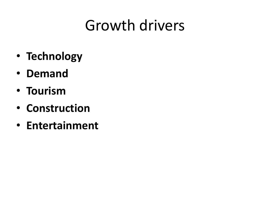### Growth drivers

- **Technology**
- **Demand**
- **Tourism**
- **Construction**
- **Entertainment**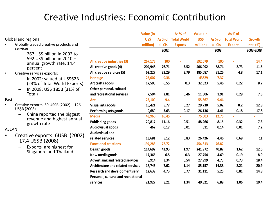### Creative Industries: Economic Contribution

|                                       |                                                                                                  |                                                       | Value (in          |              | As % of             | Value (in          |              | As % of             |              |
|---------------------------------------|--------------------------------------------------------------------------------------------------|-------------------------------------------------------|--------------------|--------------|---------------------|--------------------|--------------|---------------------|--------------|
|                                       | Global and regional                                                                              |                                                       | US\$               |              | As % of Total World | US\$               |              | As % of Total World | Growth       |
| Globally traded creative products and |                                                                                                  |                                                       | million)           | all CIs      | <b>Exports</b>      | million)           | all CIs      | <b>Exports</b>      | rate $(\%)$  |
|                                       | services:                                                                                        |                                                       |                    | 2002         |                     |                    | 2008         |                     | 2003-2008    |
|                                       | 267 US\$ billion in 2002 to<br>592 US\$ billion in 2010 -<br>annual growth rate: 14.4<br>percent | All creative industries (3)<br>All creative goods (4) | 267,175<br>204,948 | 100<br>76.71 | 3.52                | 592,079<br>406,992 | 100<br>68.74 | 2.73                | 14.4<br>11.5 |
| $\bullet$                             | Creative services exports:                                                                       | All creative services (5)                             | 62,227             | 23.29        | 3.79                | 185,087            | 31.26        | 4.8                 | 17.1         |
|                                       | In 2002: valued at US\$62B<br>—                                                                  | <b>Heritage</b>                                       | 25,007             | 9.36         |                     | 43629              | 7.37         |                     |              |
|                                       | (23% of Total World Exports)                                                                     | Art crafts goods                                      | 17,503             | 6.55         | 0.3                 | 32,323             | 5.46         | 0.22                | 8.7          |
|                                       | In 2008: US\$ 185B (31% of<br>Total)                                                             | Other personal, cultural<br>and recreational services | 7,504              | 2.81         | 0.46                | 11,306             | 1.91         | 0.29                | 7.3          |
| East:                                 |                                                                                                  | <b>Arts</b>                                           | 25,109             | 9.4          |                     | 55,867             | 9.44         |                     |              |
|                                       | Creative exports: 59 US\$B (2002) - 126                                                          | Visual arts goods                                     | 15,421             | 5.77         | 0.27                | 29,730             | 5.02         | 0.2                 | 12.8         |
|                                       | US\$B (2008)                                                                                     | Performing arts goods                                 | 9,689              | 3.63         | 0.17                | 26,136             | 4.41         | 0.18                | 17.8         |
|                                       | China reported the biggest<br>revenue and highest annual                                         | <b>Media</b>                                          | 43,960             | 16.45        |                     | 75,503             | 12.75        |                     |              |
|                                       | growth rate                                                                                      | <b>Publishing goods</b>                               | 29,817             | 11.16        | 0.51                | 48,266             | 8.15         | 0.32                | 7.3          |
| ASEAN:                                |                                                                                                  | <b>Audiovisual goods</b>                              | 462                | 0.17         | 0.01                | 811                | 0.14         | 0.01                | 7.2          |
| $\bullet$                             |                                                                                                  | <b>Audiovisual and</b>                                |                    |              |                     |                    |              |                     |              |
|                                       | Creative exports: 6USB (2002)<br>$-17.4$ US\$B (2008)                                            | related services                                      | 13,681             | 5.12         | 0.83                | 26,426             | 4.46         | 0.69                | 11           |
|                                       |                                                                                                  | <b>Functional creations</b>                           | 194,283            | 72.72        |                     | 454,813            | 76.82        |                     |              |
|                                       | Exports are highest for<br>Singapore and Thailand                                                | Design goods                                          | 114,692            | 42.93        | 1.97                | 241,972            | 40.87        | 1.62                | 12.5         |
|                                       |                                                                                                  | New media goods                                       | 17,365             | 6.5          | 0.3                 | 27,754             | 4.69         | 0.19                | 8.9          |
|                                       |                                                                                                  | <b>Advertising and related services</b>               | 8,914              | 3.34         | 0.54                | 27,999             | 4.73         | 0.73                | 18.4         |
|                                       |                                                                                                  | <b>Architecture and related services</b>              | 18,746             | 7.02         | 1.14                | 85,157             | 14.38        | 2.21                | 20.9         |
|                                       |                                                                                                  | Research and development servic                       | 12,639             | 4.73         | 0.77                | 31,111             | 5.25         | 0.81                | 14.8         |
|                                       |                                                                                                  | Personal, cultural and recreational                   |                    |              |                     |                    |              |                     |              |
|                                       |                                                                                                  | services                                              | 21,927             | 8.21         | 1.34                | 40,821             | 6.89         | 1.06                | 10.4         |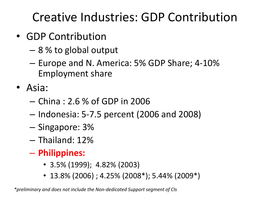Creative Industries: GDP Contribution

- GDP Contribution
	- 8 % to global output
	- Europe and N. America: 5% GDP Share; 4-10% Employment share
- Asia:
	- China : 2.6 % of GDP in 2006
	- Indonesia: 5-7.5 percent (2006 and 2008)
	- Singapore: 3%
	- Thailand: 12%
	- **Philippines:** 
		- 3.5% (1999); 4.82% (2003)
		- 13.8% (2006) ; 4.25% (2008\*); 5.44% (2009\*)

*\*preliminary and does not include the Non-dedicated Support segment of CIs*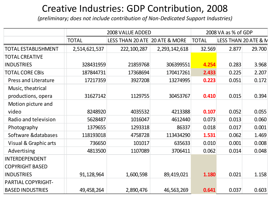### Creative Industries: GDP Contribution, 2008

*(preliminary; does not include contribution of Non-Dedicated Support Industries)*

|                             |               | 2008 VALUE ADDED               | 2008 VA as % of GDP |              |       |                      |
|-----------------------------|---------------|--------------------------------|---------------------|--------------|-------|----------------------|
|                             | <b>TOTAL</b>  | LESS THAN 20 ATE 20 ATE & MORE |                     | <b>TOTAL</b> |       | LESS THAN 20 ATE & N |
| <b>TOTAL ESTABLISHMENT</b>  | 2,514,621,537 | 222, 100, 287                  | 2,293,142,618       | 32.569       | 2.877 | 29.700               |
| <b>TOTAL CREATIVE</b>       |               |                                |                     |              |       |                      |
| <b>INDUSTRIES</b>           | 328431959     | 21859768                       | 306399551           | 4.254        | 0.283 | 3.968                |
| <b>TOTAL CORE CBIS</b>      | 187844731     | 17368694                       | 170417261           | 2.433        | 0.225 | 2.207                |
| <b>Press and Literature</b> | 17217359      | 3927208                        | 13274995            | 0.223        | 0.051 | 0.172                |
| Music, theatrical           |               |                                |                     |              |       |                      |
| productions, opera          | 31627142      | 1129755                        | 30453767            | 0.410        | 0.015 | 0.394                |
| Motion picture and          |               |                                |                     |              |       |                      |
| video                       | 8248920       | 4035532                        | 4213388             | 0.107        | 0.052 | 0.055                |
| Radio and television        | 5628487       | 1016047                        | 4612440             | 0.073        | 0.013 | 0.060                |
| Photography                 | 1379655       | 1293318                        | 86337               | 0.018        | 0.017 | 0.001                |
| Software & databases        | 118193018     | 4758728                        | 113434290           | 1.531        | 0.062 | 1.469                |
| Visual & Graphic arts       | 736650        | 101017                         | 635633              | 0.010        | 0.001 | 0.008                |
| Advertising                 | 4813500       | 1107089                        | 3706411             | 0.062        | 0.014 | 0.048                |
| <b>INTERDEPENDENT</b>       |               |                                |                     |              |       |                      |
| <b>COPYRIGHT BASED</b>      |               |                                |                     |              |       |                      |
| <b>INDUSTRIES</b>           | 91,128,964    | 1,600,598                      | 89,419,021          | 1.180        | 0.021 | 1.158                |
| PARTIAL COPYRIGHT-          |               |                                |                     |              |       |                      |
| <b>BASED INDUSTRIES</b>     | 49,458,264    | 2,890,476                      | 46,563,269          | 0.641        | 0.037 | 0.603                |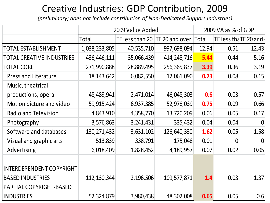### Creative Industries: GDP Contribution, 2009

*(preliminary; does not include contribution of Non-Dedicated Support Industries)*

|                                  |               | 2009 Value Added               | 2009 VA as % of GDP |       |                |                        |
|----------------------------------|---------------|--------------------------------|---------------------|-------|----------------|------------------------|
|                                  | Total         | TE less than 20 TE 20 and over |                     | Total |                | TE less that TE 20 and |
| TOTAL ESTABLISHMENT              | 1,038,233,805 | 40,535,710                     | 997,698,094         | 12.94 | 0.51           | 12.43                  |
| <b>TOTAL CREATIVE INDUSTRIES</b> | 436,446,111   | 35,066,439                     | 414, 245, 716       | 5.44  | 0.44           | 5.16                   |
| <b>TOTAL CORE</b>                | 271,990,888   | 28,889,495                     | 256,365,837         | 3.39  | 0.36           | 3.19                   |
| <b>Press and Literature</b>      | 18, 143, 642  | 6,082,550                      | 12,061,090          | 0.23  | 0.08           | 0.15                   |
| Music, theatrical                |               |                                |                     |       |                |                        |
| productions, opera               | 48,489,941    | 2,471,014                      | 46,048,303          | 0.6   | 0.03           | 0.57                   |
| Motion picture and video         | 59,915,424    | 6,937,385                      | 52,978,039          | 0.75  | 0.09           | 0.66                   |
| <b>Radio and Television</b>      | 4,843,910     | 4,358,770                      | 13,720,209          | 0.06  | 0.05           | 0.17                   |
| Photography                      | 3,576,863     | 3,241,431                      | 335,432             | 0.04  | 0.04           | 0                      |
| Software and databases           | 130, 271, 432 | 3,631,102                      | 126,640,330         | 1.62  | 0.05           | 1.58                   |
| Visual and graphic arts          | 513,839       | 338,791                        | 175,048             | 0.01  | $\overline{0}$ | 0                      |
| Advertising                      | 6,018,409     | 1,828,452                      | 4,189,957           | 0.07  | 0.02           | 0.05                   |
| <b>INTERDEPENDENT COPYRIGHT</b>  |               |                                |                     |       |                |                        |
| <b>BASED INDUSTRIES</b>          | 112, 130, 344 | 2,196,506                      | 109,577,871         | 1.4   | 0.03           | 1.37                   |
| PARTIAL COPYRIGHT-BASED          |               |                                |                     |       |                |                        |
| <b>INDUSTRIES</b>                | 52,324,879    | 3,980,438                      | 48,302,008          | 0.65  | 0.05           | 0.6                    |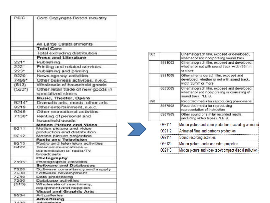| <b>PSIC</b>        | Core Copyright-Based Industry                           |
|--------------------|---------------------------------------------------------|
|                    | All Large Establishments                                |
|                    |                                                         |
|                    | <b>Total Core</b>                                       |
|                    | Total excluding distribution                            |
|                    | <b>Press and Literature</b>                             |
| $221*$             | Publishing                                              |
| $222$ <sup>+</sup> | Printing and related services                           |
| $223*$             | Publishing and printing                                 |
| 9220               | News agency activities                                  |
| 7499*              | Other business activities, n.e.c.                       |
| (513)              | Wholesale of household goods                            |
| $(523^{n})$        | Other retail trade of new goods in                      |
|                    | specialized stores                                      |
|                    | Music, Theater, Opera                                   |
| 9214*              | Dramatic arts, music, other arts                        |
| 9219               | Other entertainment, n.e.c.                             |
| 9249               |                                                         |
|                    | Other recreational activities                           |
| $7130*$            | Renting of personal and                                 |
|                    | household goods                                         |
|                    | <b>Motion Picture and Video</b>                         |
| 9211               | Motion picture and video<br>production and distribution |
| 9212               | Motion picture projection                               |
|                    | Radio and Television                                    |
| 9213               | Radio and television activities                         |
| 6422               | Telecommunications                                      |
|                    | transmission of radio/TV                                |
|                    | broadcasts                                              |
|                    | Photography                                             |
| 7494*              | Photographic activities                                 |
| 7220               | <b>Software and Databases</b>                           |
| 7230               | Software consultancy and supply<br>Software development |
| 7240               | Data processing                                         |
| 7250               | Database activities                                     |
| (515)              | Wholesale of machinery,                                 |
|                    | equipment and supplies                                  |
|                    | <b>Visual and Graphic Arts</b>                          |
| 9234               | Art galleries                                           |
| 7.508              | Advertising                                             |
|                    |                                                         |

| 883 |         | Cinematograph film, exposed or developed,<br>whether or not incorporating sound track                              |
|-----|---------|--------------------------------------------------------------------------------------------------------------------|
|     | 8831003 | Cinematograph film, exposed and developed,<br>whether or not with sound track, width 35mm<br>or more               |
|     | 8831009 | Other cinematograph film, exposed and<br>developed, whether or not with sound track,<br>width 35mm or more         |
|     | 8833009 | Cinematograph film, exposed and developed,<br>whether or not incorporating or consisting of<br>sound track, N.E.S. |
| 898 |         | Recorded media for reproducing phenomena                                                                           |
|     | 8987908 | Recorded media for reproducing<br>representation of instruction                                                    |
|     | 8987909 | Other sound or similar recorded media<br>(including video tapes), N.E.S.                                           |
|     | 092111  | Motion picture and video production (excluding animatio                                                            |
|     | O92112  | Animated films and cartoons production                                                                             |
|     | O92114  | Sound recording activities                                                                                         |
|     | O92120  | Motion picture, audio and video projection                                                                         |
|     | 092113  | Motion picture and video tape/compact disc distribution                                                            |

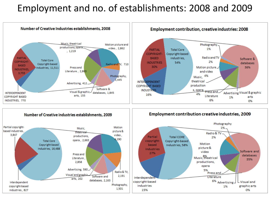#### Employment and no. of establishments: 2008 and 2009







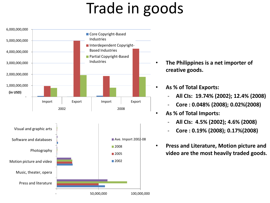# Trade in goods

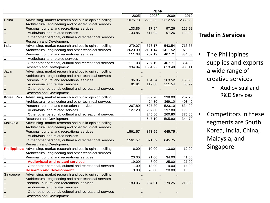|             |                                                                     |                      |         | <b>YEAR</b> |           |         |
|-------------|---------------------------------------------------------------------|----------------------|---------|-------------|-----------|---------|
|             |                                                                     |                      | 2005    | 2008        | 2009      | 2010    |
| China       | Advertising, market research and public opinion polling             |                      | 1075.73 | 2202.32     | 2312.55   | 2885.25 |
|             | Architectural, engineering and other technical services             |                      |         |             |           |         |
|             | Personal, cultural and recreational services                        |                      | 133.86  | 417.94      | 97.26     | 122.92  |
|             | Audiovisual and related services                                    |                      | 133.86  | 417.94      | 97.26     | 122.92  |
|             | Other other personal, cultural and recreational services            |                      |         |             |           |         |
|             | <b>Research and Development</b>                                     |                      |         |             |           |         |
| India       | Advertising, market research and public opinion polling             |                      | 279.07  | 573.17      | 543.54    | 716.65  |
|             | Architectural, engineering and other technical services             |                      | 2620.39 | 2131.14     | 1411.52   | 1970.96 |
|             | Personal, cultural and recreational services                        |                      | 111.08  | 707.19      | 467.71    | 334.63  |
|             | Audiovisual and related services                                    | ä.                   |         |             | $\ddotsc$ |         |
|             | Other other personal, cultural and recreational services            |                      | 111.08  | 707.19      | 467.71    | 334.63  |
|             | Research and Development                                            |                      | 334.94  | 1684.27     | 613.48    | 900.11  |
| Japan       | Advertising, market research and public opinion polling             | ٠.                   |         |             |           |         |
|             | Architectural, engineering and other technical services             |                      |         |             |           |         |
|             | Personal, cultural and recreational services                        |                      | 96.86   | 154.54      | 163.52    | 150.98  |
|             | Audiovisual and related services                                    |                      | 81.91   | 119.88      | 111.54    | 88.99   |
|             | Other other personal, cultural and recreational services            |                      |         |             |           |         |
|             | <b>Research and Development</b>                                     | ٠.                   |         |             |           |         |
| Korea, Rep. | Advertising, market research and public opinion polling             | $\ddot{\phantom{a}}$ |         | 339.20      | 238.00    | 267.20  |
|             | Architectural, engineering and other technical services             | $\ddotsc$            |         | 424.80      | 369.10    | 403.40  |
|             | Personal, cultural and recreational services                        |                      | 267.80  | 527.30      | 523.10    | 634.90  |
|             | Audiovisual and related services                                    |                      | 127.20  | 207.80      | 197.80    | 190.00  |
|             | Other other personal, cultural and recreational services            | $\ddotsc$            |         | 245.80      | 260.80    | 375.80  |
|             | Research and Development                                            | $\ddot{\phantom{a}}$ |         | 547.10      | 505.90    | 344.70  |
| Malaysia    | Advertising, market research and public opinion polling             |                      |         |             |           |         |
|             | Architectural, engineering and other technical services             |                      |         |             |           |         |
|             | Personal, cultural and recreational services                        |                      | 1561.57 | 871.59      | 645.75.   |         |
|             | Audiovisual and related services                                    |                      |         |             |           |         |
|             | Other other personal, cultural and recreational services            |                      | 1561.57 | 871.59      | 645.75    |         |
|             | <b>Research and Development</b>                                     |                      |         |             |           |         |
|             | Philippines Advertising, market research and public opinion polling |                      | 6.00    | 10.00       | 13.00     | 12.00   |
|             | Architectural, engineering and other technical services             |                      |         |             |           |         |
|             | Personal, cultural and recreational services                        |                      | 20.00   | 21.00       | 34.00     | 41.00   |
|             | <b>Audiovisual and related services</b>                             |                      | 19.00   | 8.00        | 25.00     | 27.00   |
|             | Other other personal, cultural and recreational services            |                      | 1.00    | 13.00       | 9.00      | 14.00   |
|             | <b>Research and Development</b>                                     |                      | 8.00    | 20.00       | 20.00     | 16.00   |
| Singapore   | Advertising, market research and public opinion polling             |                      |         |             |           |         |
|             | Architectural, engineering and other technical services             |                      |         |             |           |         |
|             | Personal, cultural and recreational services                        |                      | 180.05  | 204.01      | 179.25    | 218.63  |
|             | Audiovisual and related services                                    |                      |         |             |           |         |
|             | Other other personal, cultural and recreational services            |                      |         |             |           |         |
|             | Research and Development                                            |                      |         |             |           |         |
|             |                                                                     |                      |         |             |           |         |

#### **Trade in Services**

- The Philippines supplies and exports a wide range of creative services
	- Audiovisual and R&D Services
- Competitors in these segments are South Korea, India, China, Malaysia, and Singapore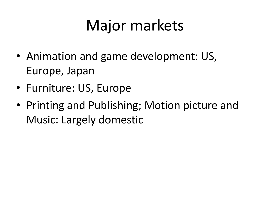## Major markets

- Animation and game development: US, Europe, Japan
- Furniture: US, Europe
- Printing and Publishing; Motion picture and Music: Largely domestic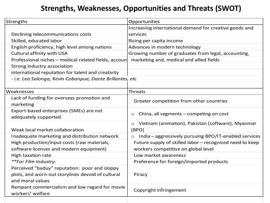#### **Strengths, Weaknesses, Opportunities and Threats (SWOT)**

| Strengths                                                 | Opportunities                                                    |  |  |  |  |
|-----------------------------------------------------------|------------------------------------------------------------------|--|--|--|--|
|                                                           | Increasing international demand for creative goods and           |  |  |  |  |
| Declining telecommunications costs                        | services                                                         |  |  |  |  |
| Skilled, educated labor                                   | Rising per capita income                                         |  |  |  |  |
| English proficiency, high level among nations             | Advances in modern technology                                    |  |  |  |  |
| <b>Cultural affinity with USA</b>                         | Growing number of graduates from legal, accounting,              |  |  |  |  |
| Professional niches - medical-related fields, accoun      | marketing and, medical and allied fields                         |  |  |  |  |
| Strong industry association                               |                                                                  |  |  |  |  |
| international reputation for talent and creativity        |                                                                  |  |  |  |  |
| - i.e. Lea Salonga, Kevin Cobonpue, Dante Brillantes, etc |                                                                  |  |  |  |  |
|                                                           |                                                                  |  |  |  |  |
| Weaknesses                                                | <b>Threats</b>                                                   |  |  |  |  |
| Lack of funding for overseas promotion and                | Greater competition from other countries                         |  |  |  |  |
| marketing                                                 |                                                                  |  |  |  |  |
| Export-based enterprises (SMEs) are not                   | China, all segments - competing on cost<br>O                     |  |  |  |  |
| adequately supported                                      |                                                                  |  |  |  |  |
|                                                           | Vietnam (animation), Pakistan (software), Myanmar<br>$\circ$     |  |  |  |  |
| Weak local market collaboration                           | (BPO)                                                            |  |  |  |  |
| Inadequate marketing and distribution network             | India - aggressively pursuing BPO/IT-enabled services<br>$\circ$ |  |  |  |  |
| High production/input costs (raw materials,               | Future supply of skilled labor - recognized need to keep         |  |  |  |  |
| software licenses and modern equipment)                   | workers competitive on global level                              |  |  |  |  |
| High taxation rate                                        | Low market awareness                                             |  |  |  |  |
| **For Film Industry:                                      | Preference for foreign/imported products                         |  |  |  |  |
| Perceived "baduy" reputation: poor and sloppy             |                                                                  |  |  |  |  |
| plots, and worn-out storylines devoid of cultural         | Piracy                                                           |  |  |  |  |
| and moral values                                          |                                                                  |  |  |  |  |
| Rampant commercialism and low regard for movie            | Copyright infringement                                           |  |  |  |  |
| workers' welfare                                          |                                                                  |  |  |  |  |
|                                                           |                                                                  |  |  |  |  |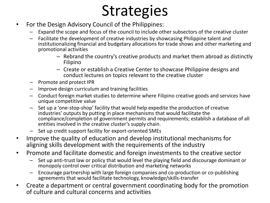## **Strategies**

- For the Design Advisory Council of the Philippines:
	- Expand the scope and focus of the council to include other subsectors of the creative cluster
	- Facilitate the development of creative industries by showcasing Philippine talent and institutionalizing financial and budgetary allocations for trade shows and other marketing and promotional activities
		- Rebrand the country's creative products and market them abroad as distinctly Filipino
		- Create or establish a Creative Center to showcase Philippine designs and conduct lectures on topics relevant to the creative cluster
	- Promote and protect IPR
	- Improve design curriculum and training facilities
	- Conduct foreign market studies to determine where Filipino creative goods and services have unique competitive value
	- Set up a 'one-stop-shop' facility that would help expedite the production of creative industries' outputs by putting in place mechanisms that would facilitate the compliance/completion of government permits and requirements; establish a database of all entities involved in the creative cluster's supply chain.
	- Set up credit support facility for export-oriented SMEs
- Improve the quality of education and develop institutional mechanisms for aligning skills development with the requirements of the industry
- Promote and facilitate domestic and foreign investments to the creative sector
	- Set up anti-trust law or policy that would level the playing field and discourage dominant or monopoly control over critical distribution and marketing networks
	- Encourage partnership with large foreign companies and co-production or co-publishing agreements that would facilitate technology, knowledge/skills-transfer
- Create a department or central government coordinating body for the promotion of culture and cultural concerns and activities